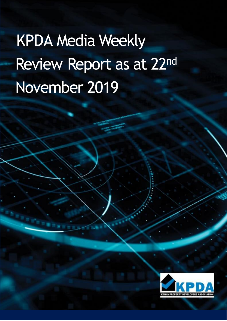# KPDA Media Weekly Review Report as at 22nd November 2019

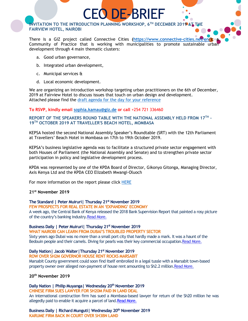**INVITATION TO THE INTRODUCTION PLANNING WORKSHOP, 6TH DECEMBER 2019 AT THE FAIRVIEW HOTEL, NAIROBI**

There is a GIZ project called Connective Cities **[\(https://www.connective-cities.net/en/\)](https://www.connective-cities.net/en/); a** Community of Practice that is working with municipalities to promote sustainable urban development through 4 main thematic clusters:

CEO DE-BRIEF

- a. Good urban governance,
- b. Integrated urban development,
- c. Municipal services &
- d. Local economic development.

We are organizing an introduction workshop targeting urban practitioners on the 6th of December, 2019 at Fairview Hotel to discuss issues that touch on urban design and development. Attached please find the [draft agenda for the day for your reference](Introduction%20Workshop%20Agenda_30%2010%202019.pdf)

**To RSVP, kindly email [sophia.kamau@giz.de](mailto:sophia.kamau@giz.de) or call** +254 721 336460

**REPORT OF THE SPEAKERS ROUND TABLE WITH THE NATIONAL ASSEMBLY HELD FROM 17TH - 19TH OCTOBER 2019 AT TRAVELLER'S BEACH HOTEL, MOMBASA**

KEPSA hosted the second National Assembly Speaker's Roundtable (SRT) with the 12th Parliament at Travellers' Beach Hotel in Mombasa on 17th to 19th October 2019.

KEPSA's business legislative agenda was to facilitate a structured private sector engagement with both Houses of Parliament (the National Assembly and Senate) and to strengthen private sector participation in policy and legislative development process.

KPDA was represented by one of the KPDA Board of Director, Gikonyo Gitonga, Managing Director, Axis Kenya Ltd and the KPDA CEO Elizabeth Mwangi-Oluoch

For more information on the report please click [HERE](../REPORT%20OF%20THE%202019%20NATIONAL%20ASSEMBLY%20SPEAKER)

#### **21st November 2019**

**The Standard | Peter Muiruri| Thursday 21st November 2019**

**FEW PROSPECTS FOR REAL ESTATE IN AN 'EXPANDING' ECONOMY** A week ago, the Central Bank of Kenya released the 2018 Bank Supervision Report that painted a rosy picture of the country's banking industry[.Read More.](https://www.standardmedia.co.ke/business/article/2001350288/few-prospects-for-real-estate-in-an-expanding-economy)

#### **Business Daily | Peter Muiruri| Thursday 21st November 2019**

**WHAT NAIROBI CAN LEARN FROM DUBAI'S TROUBLED PROPERTY SECTOR** Sixty years ago Dubai was no more than a small port city that hardly made a mark. It was a haunt of the Bedouin people and their camels. Diving for pearls was their key commercial occupatio[n.Read More.](https://www.standardmedia.co.ke/business/article/2001350255/is-nairobi-going-the-dubai-way)

#### **Daily Nation| Jacob Walter|Thursday 21st November 2019**

**ROW OVER SH2M GOVERNOR HOUSE RENT ROCKS MARSABIT**

Marsabit County government could soon find itself embroiled in a legal tussle with a Marsabit town-based property owner over alleged non-payment of house rent amounting to Sh2.2 million[.Read More.](https://www.nation.co.ke/counties/marsabit/Row-over-Sh2m-governor-house-rent/3444778-5357178-usercg/index.html)

#### **20th November 2019**

**Daily Nation | Philip Muyanga| Wednesday 20th November 2019**

**CHINESE FIRM SUES LAWYER FOR SH20M PAID IN LAND DEAL**

An international construction firm has sued a Mombasa-based lawyer for return of the Sh20 million he was allegedly paid to enable it acquire a parcel of land[.Read More.](https://www.nation.co.ke/counties/mombasa/China-Wu-Yi-sues-lawyer-Sh20m-land-deal/1954178-5355602-fghilsz/index.html)

**Business Daily | Richard Munguti| Wednesday 20th November 2019 KARUME FIRM BACK IN COURT OVER SH3BN LAND**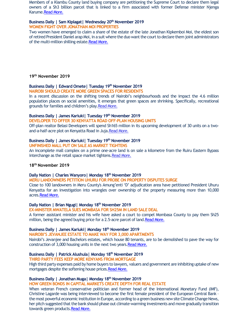Members of a Kiambu County land buying company are petitioning the Supreme Court to declare them legal owners of a Sh3 billion parcel that is linked to a firm associated with former Defense minister Njenga Karume[.Read More.](https://www.businessdailyafrica.com/corporate/companies/Karume-firm-back-in-court-over-Sh3bn-land/4003102-5356378-on6ccsz/index.html)

## **Business Daily | Sam Kiplagat| Wednesday 20th November 2019**

## **WOMEN FIGHT OVER JONATHAN MOI PROPERTIES**

Two women have emerged to claim a share of the estate of the late Jonathan Kipkemboi Moi, the eldest son of retired President Daniel arap Moi, in a suit where the duo want the court to declare them joint administrators of the multi-million shilling estat[e.Read More.](https://www.businessdailyafrica.com/news/Women-fight-over-Jonathan-Moi/539546-5355570-cklnht/index.html)

# **19th November 2019**

# **Business Daily | Edward Omete| Tuesday 19th November 2019**

**NAIROBI SHOULD CREATE MORE GREEN SPACES FOR RESIDENTS**

In a recent discussion on the shifting trends of Nairobi's neighbourhoods and the impact the 4.6 million population places on social amenities, it emerges that green spaces are shrinking. Specifically, recreational grounds for families and children's play[.Read More.](https://www.businessdailyafrica.com/lifestyle/fitness/Nairobi-should-create-more-green-spaces/4258372-5355228-ucxt27/index.html)

#### **Business Daily | James Kariuki| Tuesday 19th November 2019**

#### **DEVELOPER TO OFFER 30 KENYATTA ROAD OFF-PLAN HOUSING UNITS**

Off-plan realtor Belasi Developers will spend Sh165 million in its upcoming development of 30 units on a twoand-a-half-acre plot on Kenyatta Road in Juja[.Read More.](https://www.businessdailyafrica.com/markets/marketnews/Developer-to-offer-30-Kenyatta-Road-/3815534-5355134-6g5lwkz/index.html)

# **Business Daily | James Kariuki| Tuesday 19th November 2019**

**UNFINISHED MALL PUT ON SALE AS MARKET TIGHTENS** An incomplete mall complex on a prime one-acre land is on sale a kilometre from the Ruiru Eastern Bypass interchange as the retail space market tightens. Read More.

#### **18th November 2019**

#### **Daily Nation | Charles Wanyoro| Monday 18th November 2019**

**MERU LANDOWNERS PETITION UHURU FOR PROBE ON PROPERTY DISPUTES SURGE**

Close to 100 landowners in Meru County's Amung'enti 'D' adjudication area have petitioned President Uhuru Kenyatta for an investigation into wrangles over ownership of the property measuring more than 10,000 acres[.Read More.](https://www.nation.co.ke/counties/meru/Meru-landowners-petition-Uhuru-probe/1183302-5352792-jvf6mp/index.html)

#### **Daily Nation | Brian Ngugi| Monday 18th November 2019**

**EX-MINISTER MWATELA SUES MOMBASA FOR SH25M IN LAND SALE DEAL**

A former assistant minister and his wife have asked a court to compel Mombasa County to pay them Sh25 million, being the agreed buying price for a 2.5-acre parcel of land. Read More.

#### **Business Daily | James Kariuki| Monday 18th November 2019**

**NAIROBI'S JEVANJEE ESTATE TO MAKE WAY FOR 3,000 APARTMENTS**

Nairobi's Jevanjee and Bachelors estates, which house 80 tenants, are to be demolished to pave the way for construction of 3,000 housing units in the next two years[.Read More.](https://www.businessdailyafrica.com/markets/marketnews/Jevanjee-estate-3-000-apartments/3815534-5353548-tuwily/index.html)

# **Business Daily | Patrick Alushula| Monday 18th November 2019**

## **THIRD PARTY FEES KEEP MORE KENYANS FROM MORTGAGE**

High third party expenses paid by home buyers to lawyers, valuers and government are inhibiting uptake of new mortgages despite the softening house prices[.Read More.](https://www.businessdailyafrica.com/corporate/companies/Third-party-fees-keep-more-Kenyans-from-mortgage/4003102-5353748-bph4g8/index.html)

## **Business Daily | Jonathan Muga| Monday 18th November 2019**

**HOW GREEN BONDS IN CAPITAL MARKETS CREATE DEPTH FOR REAL ESTATE**

When veteran French conservative politician and former head of the International Monetary Fund (IMF), Christine Lagarde was being interviewed to become the first female president of the European Central Bank – the most powerful economic institution in Europe, according to a green business new site Climate Change News, her pitch suggested that the bank should phase out climate-warming investments and move gradually transition towards green products[.Read More.](https://www.businessdailyafrica.com/analysis/columnists/green-bonds-in-capital-markets/4259356-5353630-xm8h6tz/index.html)